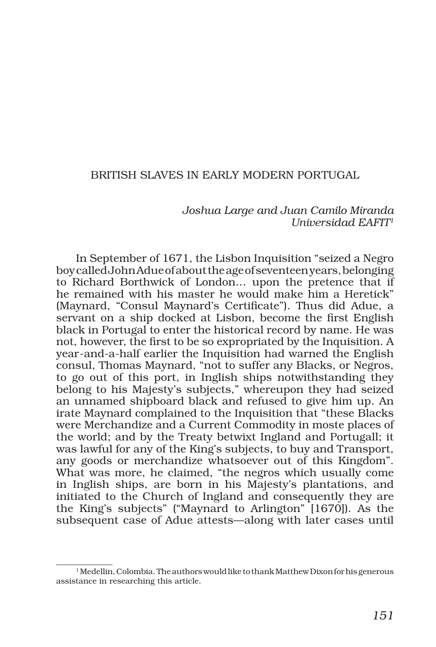# BRITISH SLAVES IN EARLY MODERN PORTUGAL

#### *Joshua Large and Juan Camilo Miranda Universidad EAFIT1*

In September of 1671, the Lisbon Inquisition "seized a Negro boy called John Adue of about the age of seventeen years, belonging to Richard Borthwick of London… upon the pretence that if he remained with his master he would make him a Heretick" (Maynard, "Consul Maynard's Certificate"). Thus did Adue, a servant on a ship docked at Lisbon, become the first English black in Portugal to enter the historical record by name. He was not, however, the first to be so expropriated by the Inquisition. A year-and-a-half earlier the Inquisition had warned the English consul, Thomas Maynard, "not to suffer any Blacks, or Negros, to go out of this port, in Inglish ships notwithstanding they belong to his Majesty's subjects," whereupon they had seized an unnamed shipboard black and refused to give him up. An irate Maynard complained to the Inquisition that "these Blacks were Merchandize and a Current Commodity in moste places of the world; and by the Treaty betwixt Ingland and Portugall; it was lawful for any of the King's subjects, to buy and Transport, any goods or merchandize whatsoever out of this Kingdom". What was more, he claimed, "the negros which usually come in Inglish ships, are born in his Majesty's plantations, and initiated to the Church of Ingland and consequently they are the King's subjects" ("Maynard to Arlington" [1670]). As the subsequent case of Adue attests—along with later cases until

<sup>&</sup>lt;sup>1</sup> Medellin, Colombia. The authors would like to thank Matthew Dixon for his generous assistance in researching this article.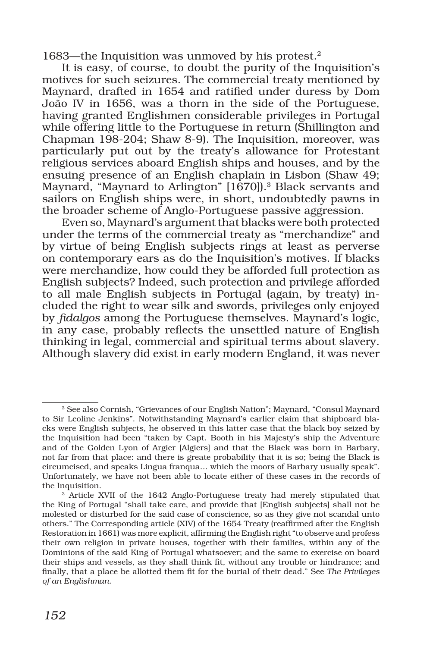1683—the Inquisition was unmoved by his protest.<sup>2</sup>

It is easy, of course, to doubt the purity of the Inquisition's motives for such seizures. The commercial treaty mentioned by Maynard, drafted in 1654 and ratified under duress by Dom João IV in 1656, was a thorn in the side of the Portuguese, having granted Englishmen considerable privileges in Portugal while offering little to the Portuguese in return (Shillington and Chapman 198-204; Shaw 8-9). The Inquisition, moreover, was particularly put out by the treaty's allowance for Protestant religious services aboard English ships and houses, and by the ensuing presence of an English chaplain in Lisbon (Shaw 49; Maynard, "Maynard to Arlington" [1670]).3 Black servants and sailors on English ships were, in short, undoubtedly pawns in the broader scheme of Anglo-Portuguese passive aggression.

Even so, Maynard's argument that blacks were both protected under the terms of the commercial treaty as "merchandize" and by virtue of being English subjects rings at least as perverse on contemporary ears as do the Inquisition's motives. If blacks were merchandize, how could they be afforded full protection as English subjects? Indeed, such protection and privilege afforded to all male English subjects in Portugal (again, by treaty) included the right to wear silk and swords, privileges only enjoyed by *fidalgos* among the Portuguese themselves. Maynard's logic, in any case, probably reflects the unsettled nature of English thinking in legal, commercial and spiritual terms about slavery. Although slavery did exist in early modern England, it was never

<sup>2</sup> See also Cornish, "Grievances of our English Nation"; Maynard, "Consul Maynard to Sir Leoline Jenkins". Notwithstanding Maynard's earlier claim that shipboard blacks were English subjects, he observed in this latter case that the black boy seized by the Inquisition had been "taken by Capt. Booth in his Majesty's ship the Adventure and of the Golden Lyon of Argier [Algiers] and that the Black was born in Barbary, not far from that place: and there is greate probability that it is so; being the Black is circumcised, and speaks Lingua franqua… which the moors of Barbary usually speak". Unfortunately, we have not been able to locate either of these cases in the records of the Inquisition.<br> $3$  Article XVII of the 1642 Anglo-Portuguese treaty had merely stipulated that

the King of Portugal "shall take care, and provide that [English subjects] shall not be molested or disturbed for the said case of conscience, so as they give not scandal unto others." The Corresponding article (XIV) of the 1654 Treaty (reaffirmed after the English Restoration in 1661) was more explicit, affirming the English right "to observe and profess their own religion in private houses, together with their families, within any of the Dominions of the said King of Portugal whatsoever; and the same to exercise on board their ships and vessels, as they shall think fit, without any trouble or hindrance; and finally, that a place be allotted them fit for the burial of their dead." See *The Privileges of an Englishman.*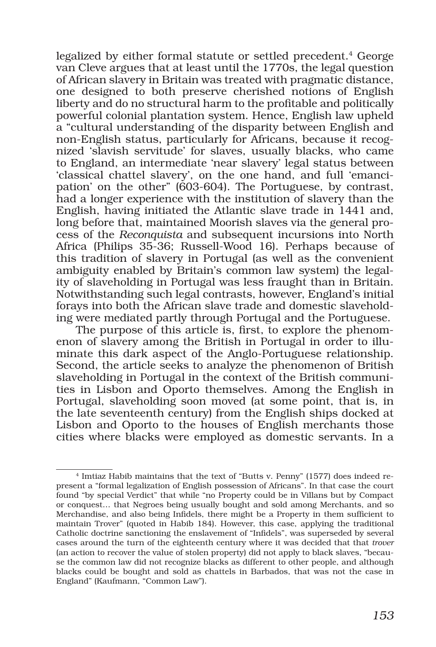legalized by either formal statute or settled precedent.<sup>4</sup> George van Cleve argues that at least until the 1770s, the legal question of African slavery in Britain was treated with pragmatic distance, one designed to both preserve cherished notions of English liberty and do no structural harm to the profitable and politically powerful colonial plantation system. Hence, English law upheld a "cultural understanding of the disparity between English and non-English status, particularly for Africans, because it recognized 'slavish servitude' for slaves, usually blacks, who came to England, an intermediate 'near slavery' legal status between 'classical chattel slavery', on the one hand, and full 'emancipation' on the other" (603-604). The Portuguese, by contrast, had a longer experience with the institution of slavery than the English, having initiated the Atlantic slave trade in 1441 and, long before that, maintained Moorish slaves via the general process of the *Reconquista* and subsequent incursions into North Africa (Philips 35-36; Russell-Wood 16). Perhaps because of this tradition of slavery in Portugal (as well as the convenient ambiguity enabled by Britain's common law system) the legality of slaveholding in Portugal was less fraught than in Britain. Notwithstanding such legal contrasts, however, England's initial forays into both the African slave trade and domestic slaveholding were mediated partly through Portugal and the Portuguese.

The purpose of this article is, first, to explore the phenomenon of slavery among the British in Portugal in order to illuminate this dark aspect of the Anglo-Portuguese relationship. Second, the article seeks to analyze the phenomenon of British slaveholding in Portugal in the context of the British communities in Lisbon and Oporto themselves. Among the English in Portugal, slaveholding soon moved (at some point, that is, in the late seventeenth century) from the English ships docked at Lisbon and Oporto to the houses of English merchants those cities where blacks were employed as domestic servants. In a

<sup>4</sup> Imtiaz Habib maintains that the text of "Butts v. Penny" (1577) does indeed represent a "formal legalization of English possession of Africans". In that case the court found "by special Verdict" that while "no Property could be in Villans but by Compact or conquest… that Negroes being usually bought and sold among Merchants, and so Merchandise, and also being Infidels, there might be a Property in them sufficient to maintain Trover" (quoted in Habib 184). However, this case, applying the traditional Catholic doctrine sanctioning the enslavement of "Infidels", was superseded by several cases around the turn of the eighteenth century where it was decided that that *trover*  (an action to recover the value of stolen property) did not apply to black slaves, "because the common law did not recognize blacks as different to other people, and although blacks could be bought and sold as chattels in Barbados, that was not the case in England" (Kaufmann, "Common Law").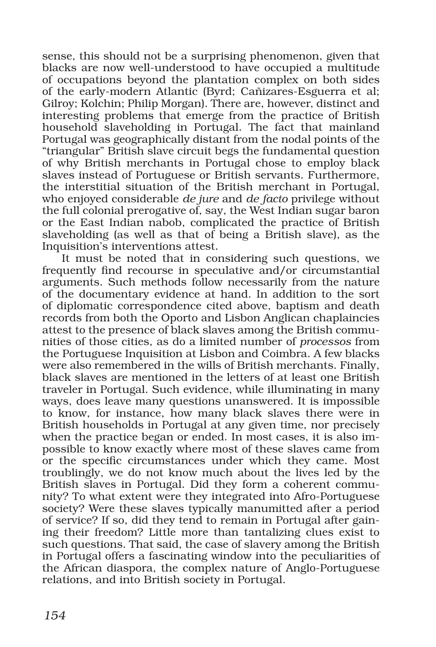sense, this should not be a surprising phenomenon, given that blacks are now well-understood to have occupied a multitude of occupations beyond the plantation complex on both sides of the early-modern Atlantic (Byrd; Cañizares-Esguerra et al; Gilroy; Kolchin; Philip Morgan). There are, however, distinct and interesting problems that emerge from the practice of British household slaveholding in Portugal. The fact that mainland Portugal was geographically distant from the nodal points of the "triangular" British slave circuit begs the fundamental question of why British merchants in Portugal chose to employ black slaves instead of Portuguese or British servants. Furthermore, the interstitial situation of the British merchant in Portugal, who enjoyed considerable *de jure* and *de facto* privilege without the full colonial prerogative of, say, the West Indian sugar baron or the East Indian nabob, complicated the practice of British slaveholding (as well as that of being a British slave), as the Inquisition's interventions attest.

It must be noted that in considering such questions, we frequently find recourse in speculative and/or circumstantial arguments. Such methods follow necessarily from the nature of the documentary evidence at hand. In addition to the sort of diplomatic correspondence cited above, baptism and death records from both the Oporto and Lisbon Anglican chaplaincies attest to the presence of black slaves among the British communities of those cities, as do a limited number of *processos* from the Portuguese Inquisition at Lisbon and Coimbra. A few blacks were also remembered in the wills of British merchants. Finally, black slaves are mentioned in the letters of at least one British traveler in Portugal. Such evidence, while illuminating in many ways, does leave many questions unanswered. It is impossible to know, for instance, how many black slaves there were in British households in Portugal at any given time, nor precisely when the practice began or ended. In most cases, it is also impossible to know exactly where most of these slaves came from or the specific circumstances under which they came. Most troublingly, we do not know much about the lives led by the British slaves in Portugal. Did they form a coherent community? To what extent were they integrated into Afro-Portuguese society? Were these slaves typically manumitted after a period of service? If so, did they tend to remain in Portugal after gaining their freedom? Little more than tantalizing clues exist to such questions. That said, the case of slavery among the British in Portugal offers a fascinating window into the peculiarities of the African diaspora, the complex nature of Anglo-Portuguese relations, and into British society in Portugal.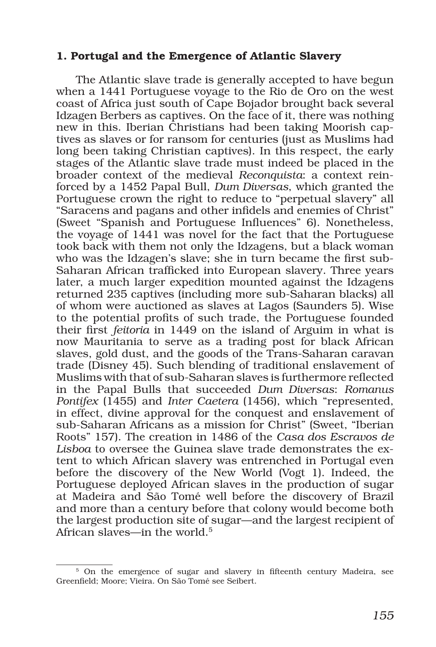### 1. Portugal and the Emergence of Atlantic Slavery

The Atlantic slave trade is generally accepted to have begun when a 1441 Portuguese voyage to the Rio de Oro on the west coast of Africa just south of Cape Bojador brought back several Idzagen Berbers as captives. On the face of it, there was nothing new in this. Iberian Christians had been taking Moorish captives as slaves or for ransom for centuries (just as Muslims had long been taking Christian captives). In this respect, the early stages of the Atlantic slave trade must indeed be placed in the broader context of the medieval *Reconquista*: a context reinforced by a 1452 Papal Bull, *Dum Diversas*, which granted the Portuguese crown the right to reduce to "perpetual slavery" all "Saracens and pagans and other infidels and enemies of Christ" (Sweet "Spanish and Portuguese Influences" 6). Nonetheless, the voyage of 1441 was novel for the fact that the Portuguese took back with them not only the Idzagens, but a black woman who was the Idzagen's slave; she in turn became the first sub-Saharan African trafficked into European slavery. Three years later, a much larger expedition mounted against the Idzagens returned 235 captives (including more sub-Saharan blacks) all of whom were auctioned as slaves at Lagos (Saunders 5). Wise to the potential profits of such trade, the Portuguese founded their first *feitoria* in 1449 on the island of Arguim in what is now Mauritania to serve as a trading post for black African slaves, gold dust, and the goods of the Trans-Saharan caravan trade (Disney 45). Such blending of traditional enslavement of Muslims with that of sub-Saharan slaves is furthermore reflected in the Papal Bulls that succeeded *Dum Diversas*: *Romanus Pontifex* (1455) and *Inter Caetera* (1456), which "represented, in effect, divine approval for the conquest and enslavement of sub-Saharan Africans as a mission for Christ" (Sweet, "Iberian Roots" 157). The creation in 1486 of the *Casa dos Escravos de Lisboa* to oversee the Guinea slave trade demonstrates the extent to which African slavery was entrenched in Portugal even before the discovery of the New World (Vogt 1). Indeed, the Portuguese deployed African slaves in the production of sugar at Madeira and São Tomé well before the discovery of Brazil and more than a century before that colony would become both the largest production site of sugar—and the largest recipient of African slaves—in the world.5

<sup>&</sup>lt;sup>5</sup> On the emergence of sugar and slavery in fifteenth century Madeira, see Greenfield; Moore; Vieira. On São Tomé see Seibert.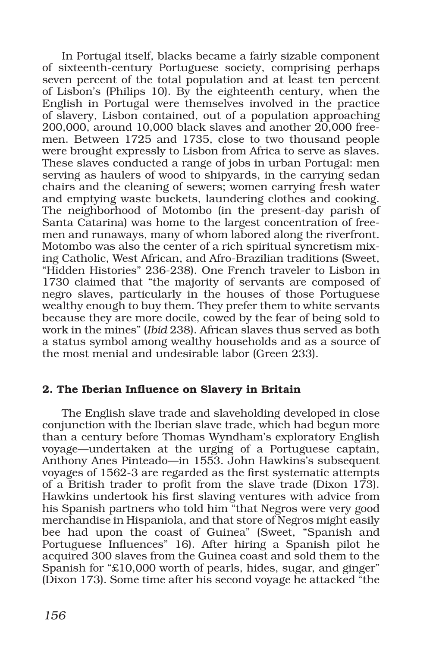In Portugal itself, blacks became a fairly sizable component of sixteenth-century Portuguese society, comprising perhaps seven percent of the total population and at least ten percent of Lisbon's (Philips 10). By the eighteenth century, when the English in Portugal were themselves involved in the practice of slavery, Lisbon contained, out of a population approaching 200,000, around 10,000 black slaves and another 20,000 freemen. Between 1725 and 1735, close to two thousand people were brought expressly to Lisbon from Africa to serve as slaves. These slaves conducted a range of jobs in urban Portugal: men serving as haulers of wood to shipyards, in the carrying sedan chairs and the cleaning of sewers; women carrying fresh water and emptying waste buckets, laundering clothes and cooking. The neighborhood of Motombo (in the present-day parish of Santa Catarina) was home to the largest concentration of freemen and runaways, many of whom labored along the riverfront. Motombo was also the center of a rich spiritual syncretism mixing Catholic, West African, and Afro-Brazilian traditions (Sweet, "Hidden Histories" 236-238). One French traveler to Lisbon in 1730 claimed that "the majority of servants are composed of negro slaves, particularly in the houses of those Portuguese wealthy enough to buy them. They prefer them to white servants because they are more docile, cowed by the fear of being sold to work in the mines" (*Ibid* 238). African slaves thus served as both a status symbol among wealthy households and as a source of the most menial and undesirable labor (Green 233).

# 2. The Iberian Influence on Slavery in Britain

The English slave trade and slaveholding developed in close conjunction with the Iberian slave trade, which had begun more than a century before Thomas Wyndham's exploratory English voyage—undertaken at the urging of a Portuguese captain, Anthony Anes Pinteado—in 1553. John Hawkins's subsequent voyages of 1562-3 are regarded as the first systematic attempts of a British trader to profit from the slave trade (Dixon 173). Hawkins undertook his first slaving ventures with advice from his Spanish partners who told him "that Negros were very good merchandise in Hispaniola, and that store of Negros might easily bee had upon the coast of Guinea" (Sweet, "Spanish and Portuguese Influences" 16). After hiring a Spanish pilot he acquired 300 slaves from the Guinea coast and sold them to the Spanish for "£10,000 worth of pearls, hides, sugar, and ginger" (Dixon 173). Some time after his second voyage he attacked "the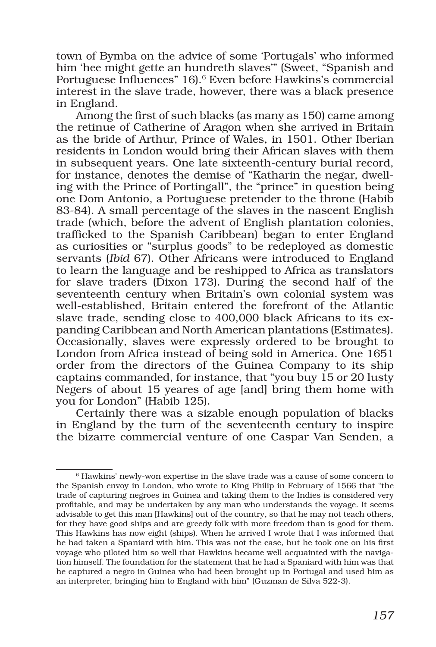town of Bymba on the advice of some 'Portugals' who informed him 'hee might gette an hundreth slaves'" (Sweet, "Spanish and Portuguese Influences" 16).<sup>6</sup> Even before Hawkins's commercial interest in the slave trade, however, there was a black presence in England.

Among the first of such blacks (as many as 150) came among the retinue of Catherine of Aragon when she arrived in Britain as the bride of Arthur, Prince of Wales, in 1501. Other Iberian residents in London would bring their African slaves with them in subsequent years. One late sixteenth-century burial record, for instance, denotes the demise of "Katharin the negar, dwelling with the Prince of Portingall", the "prince" in question being one Dom Antonio, a Portuguese pretender to the throne (Habib 83-84). A small percentage of the slaves in the nascent English trade (which, before the advent of English plantation colonies, trafficked to the Spanish Caribbean) began to enter England as curiosities or "surplus goods" to be redeployed as domestic servants (*Ibid* 67). Other Africans were introduced to England to learn the language and be reshipped to Africa as translators for slave traders (Dixon 173). During the second half of the seventeenth century when Britain's own colonial system was well-established, Britain entered the forefront of the Atlantic slave trade, sending close to 400,000 black Africans to its expanding Caribbean and North American plantations (Estimates). Occasionally, slaves were expressly ordered to be brought to London from Africa instead of being sold in America. One 1651 order from the directors of the Guinea Company to its ship captains commanded, for instance, that "you buy 15 or 20 lusty Negers of about 15 yeares of age [and] bring them home with you for London" (Habib 125).

Certainly there was a sizable enough population of blacks in England by the turn of the seventeenth century to inspire the bizarre commercial venture of one Caspar Van Senden, a

<sup>6</sup> Hawkins' newly-won expertise in the slave trade was a cause of some concern to the Spanish envoy in London, who wrote to King Philip in February of 1566 that "the trade of capturing negroes in Guinea and taking them to the Indies is considered very profitable, and may be undertaken by any man who understands the voyage. It seems advisable to get this man [Hawkins] out of the country, so that he may not teach others, for they have good ships and are greedy folk with more freedom than is good for them. This Hawkins has now eight (ships). When he arrived I wrote that I was informed that he had taken a Spaniard with him. This was not the case, but he took one on his first voyage who piloted him so well that Hawkins became well acquainted with the navigation himself. The foundation for the statement that he had a Spaniard with him was that he captured a negro in Guinea who had been brought up in Portugal and used him as an interpreter, bringing him to England with him" (Guzman de Silva 522-3).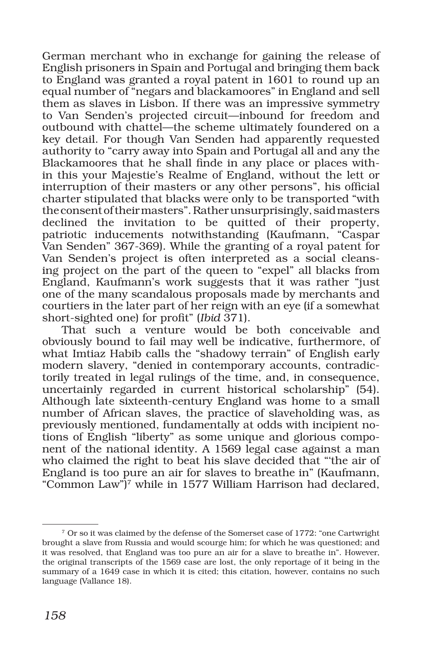German merchant who in exchange for gaining the release of English prisoners in Spain and Portugal and bringing them back to England was granted a royal patent in 1601 to round up an equal number of "negars and blackamoores" in England and sell them as slaves in Lisbon. If there was an impressive symmetry to Van Senden's projected circuit—inbound for freedom and outbound with chattel—the scheme ultimately foundered on a key detail. For though Van Senden had apparently requested authority to "carry away into Spain and Portugal all and any the Blackamoores that he shall finde in any place or places within this your Majestie's Realme of England, without the lett or interruption of their masters or any other persons", his official charter stipulated that blacks were only to be transported "with the consent of their masters". Rather unsurprisingly, said masters declined the invitation to be quitted of their property, patriotic inducements notwithstanding (Kaufmann, "Caspar Van Senden" 367-369). While the granting of a royal patent for Van Senden's project is often interpreted as a social cleansing project on the part of the queen to "expel" all blacks from England, Kaufmann's work suggests that it was rather "just one of the many scandalous proposals made by merchants and courtiers in the later part of her reign with an eye (if a somewhat short-sighted one) for profit" (*Ibid* 371).

That such a venture would be both conceivable and obviously bound to fail may well be indicative, furthermore, of what Imtiaz Habib calls the "shadowy terrain" of English early modern slavery, "denied in contemporary accounts, contradictorily treated in legal rulings of the time, and, in consequence, uncertainly regarded in current historical scholarship" (54). Although late sixteenth-century England was home to a small number of African slaves, the practice of slaveholding was, as previously mentioned, fundamentally at odds with incipient notions of English "liberty" as some unique and glorious component of the national identity. A 1569 legal case against a man who claimed the right to beat his slave decided that "'the air of England is too pure an air for slaves to breathe in" (Kaufmann, "Common Law")7 while in 1577 William Harrison had declared,

<sup>7</sup> Or so it was claimed by the defense of the Somerset case of 1772: "one Cartwright brought a slave from Russia and would scourge him; for which he was questioned; and it was resolved, that England was too pure an air for a slave to breathe in". However, the original transcripts of the 1569 case are lost, the only reportage of it being in the summary of a 1649 case in which it is cited; this citation, however, contains no such language (Vallance 18).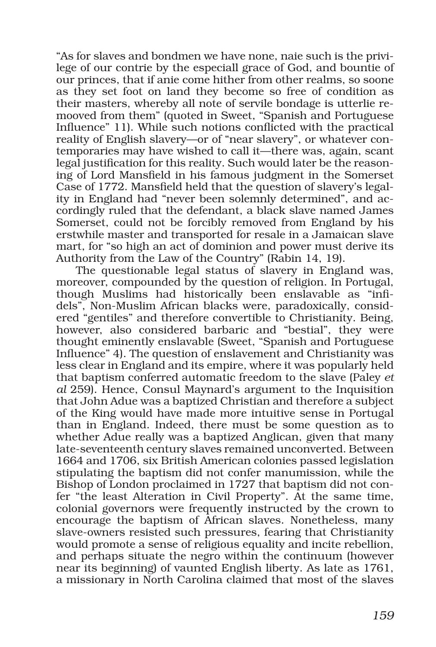"As for slaves and bondmen we have none, naie such is the privilege of our contrie by the especiall grace of God, and bountie of our princes, that if anie come hither from other realms, so soone as they set foot on land they become so free of condition as their masters, whereby all note of servile bondage is utterlie remooved from them" (quoted in Sweet, "Spanish and Portuguese Influence" 11). While such notions conflicted with the practical reality of English slavery—or of "near slavery", or whatever contemporaries may have wished to call it—there was, again, scant legal justification for this reality. Such would later be the reasoning of Lord Mansfield in his famous judgment in the Somerset Case of 1772. Mansfield held that the question of slavery's legality in England had "never been solemnly determined", and accordingly ruled that the defendant, a black slave named James Somerset, could not be forcibly removed from England by his erstwhile master and transported for resale in a Jamaican slave mart, for "so high an act of dominion and power must derive its Authority from the Law of the Country" (Rabin 14, 19).

The questionable legal status of slavery in England was, moreover, compounded by the question of religion. In Portugal, though Muslims had historically been enslavable as "infidels", Non-Muslim African blacks were, paradoxically, considered "gentiles" and therefore convertible to Christianity. Being, however, also considered barbaric and "bestial", they were thought eminently enslavable (Sweet, "Spanish and Portuguese Influence" 4). The question of enslavement and Christianity was less clear in England and its empire, where it was popularly held that baptism conferred automatic freedom to the slave (Paley *et al* 259). Hence, Consul Maynard's argument to the Inquisition that John Adue was a baptized Christian and therefore a subject of the King would have made more intuitive sense in Portugal than in England. Indeed, there must be some question as to whether Adue really was a baptized Anglican, given that many late-seventeenth century slaves remained unconverted. Between 1664 and 1706, six British American colonies passed legislation stipulating the baptism did not confer manumission, while the Bishop of London proclaimed in 1727 that baptism did not confer "the least Alteration in Civil Property". At the same time, colonial governors were frequently instructed by the crown to encourage the baptism of African slaves. Nonetheless, many slave-owners resisted such pressures, fearing that Christianity would promote a sense of religious equality and incite rebellion, and perhaps situate the negro within the continuum (however near its beginning) of vaunted English liberty. As late as 1761, a missionary in North Carolina claimed that most of the slaves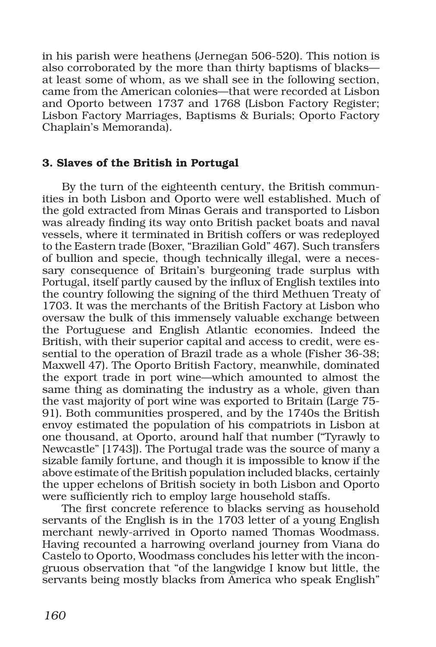in his parish were heathens (Jernegan 506-520). This notion is also corroborated by the more than thirty baptisms of blacks at least some of whom, as we shall see in the following section, came from the American colonies—that were recorded at Lisbon and Oporto between 1737 and 1768 (Lisbon Factory Register; Lisbon Factory Marriages, Baptisms & Burials; Oporto Factory Chaplain's Memoranda).

# 3. Slaves of the British in Portugal

By the turn of the eighteenth century, the British communities in both Lisbon and Oporto were well established. Much of the gold extracted from Minas Gerais and transported to Lisbon was already finding its way onto British packet boats and naval vessels, where it terminated in British coffers or was redeployed to the Eastern trade (Boxer, "Brazilian Gold" 467). Such transfers of bullion and specie, though technically illegal, were a necessary consequence of Britain's burgeoning trade surplus with Portugal, itself partly caused by the influx of English textiles into the country following the signing of the third Methuen Treaty of 1703. It was the merchants of the British Factory at Lisbon who oversaw the bulk of this immensely valuable exchange between the Portuguese and English Atlantic economies. Indeed the British, with their superior capital and access to credit, were essential to the operation of Brazil trade as a whole (Fisher 36-38; Maxwell 47). The Oporto British Factory, meanwhile, dominated the export trade in port wine—which amounted to almost the same thing as dominating the industry as a whole, given than the vast majority of port wine was exported to Britain (Large 75- 91). Both communities prospered, and by the 1740s the British envoy estimated the population of his compatriots in Lisbon at one thousand, at Oporto, around half that number ("Tyrawly to Newcastle" [1743]). The Portugal trade was the source of many a sizable family fortune, and though it is impossible to know if the above estimate of the British population included blacks, certainly the upper echelons of British society in both Lisbon and Oporto were sufficiently rich to employ large household staffs.

The first concrete reference to blacks serving as household servants of the English is in the 1703 letter of a young English merchant newly-arrived in Oporto named Thomas Woodmass. Having recounted a harrowing overland journey from Viana do Castelo to Oporto, Woodmass concludes his letter with the incongruous observation that "of the langwidge I know but little, the servants being mostly blacks from America who speak English"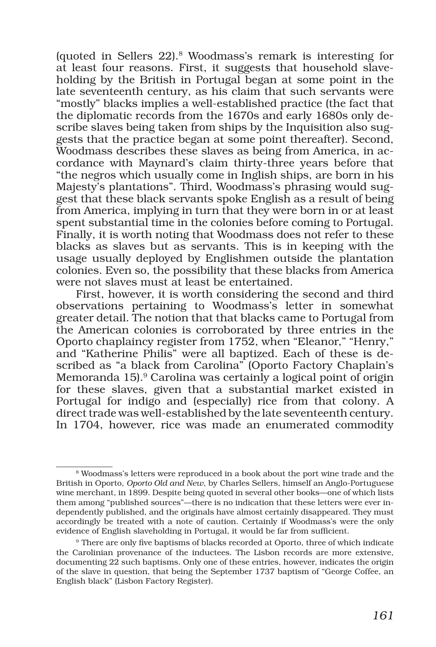(quoted in Sellers 22).8 Woodmass's remark is interesting for at least four reasons. First, it suggests that household slaveholding by the British in Portugal began at some point in the late seventeenth century, as his claim that such servants were "mostly" blacks implies a well-established practice (the fact that the diplomatic records from the 1670s and early 1680s only describe slaves being taken from ships by the Inquisition also suggests that the practice began at some point thereafter). Second, Woodmass describes these slaves as being from America, in accordance with Maynard's claim thirty-three years before that "the negros which usually come in Inglish ships, are born in his Majesty's plantations". Third, Woodmass's phrasing would suggest that these black servants spoke English as a result of being from America, implying in turn that they were born in or at least spent substantial time in the colonies before coming to Portugal. Finally, it is worth noting that Woodmass does not refer to these blacks as slaves but as servants. This is in keeping with the usage usually deployed by Englishmen outside the plantation colonies. Even so, the possibility that these blacks from America were not slaves must at least be entertained.

First, however, it is worth considering the second and third observations pertaining to Woodmass's letter in somewhat greater detail. The notion that that blacks came to Portugal from the American colonies is corroborated by three entries in the Oporto chaplaincy register from 1752, when "Eleanor," "Henry," and "Katherine Philis" were all baptized. Each of these is described as "a black from Carolina" (Oporto Factory Chaplain's Memoranda 15).<sup>9</sup> Carolina was certainly a logical point of origin for these slaves, given that a substantial market existed in Portugal for indigo and (especially) rice from that colony. A direct trade was well-established by the late seventeenth century. In 1704, however, rice was made an enumerated commodity

<sup>8</sup> Woodmass's letters were reproduced in a book about the port wine trade and the British in Oporto, *Oporto Old and New*, by Charles Sellers, himself an Anglo-Portuguese wine merchant, in 1899. Despite being quoted in several other books—one of which lists them among "published sources"—there is no indication that these letters were ever independently published, and the originals have almost certainly disappeared. They must accordingly be treated with a note of caution. Certainly if Woodmass's were the only evidence of English slaveholding in Portugal, it would be far from sufficient.

<sup>9</sup> There are only five baptisms of blacks recorded at Oporto, three of which indicate the Carolinian provenance of the inductees. The Lisbon records are more extensive, documenting 22 such baptisms. Only one of these entries, however, indicates the origin of the slave in question, that being the September 1737 baptism of "George Coffee, an English black" (Lisbon Factory Register).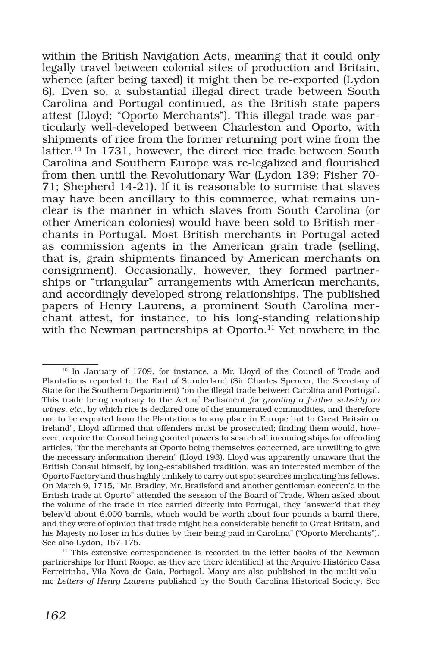within the British Navigation Acts, meaning that it could only legally travel between colonial sites of production and Britain, whence (after being taxed) it might then be re-exported (Lydon 6). Even so, a substantial illegal direct trade between South Carolina and Portugal continued, as the British state papers attest (Lloyd; "Oporto Merchants"). This illegal trade was particularly well-developed between Charleston and Oporto, with shipments of rice from the former returning port wine from the latter.10 In 1731, however, the direct rice trade between South Carolina and Southern Europe was re-legalized and flourished from then until the Revolutionary War (Lydon 139; Fisher 70- 71; Shepherd 14-21). If it is reasonable to surmise that slaves may have been ancillary to this commerce, what remains unclear is the manner in which slaves from South Carolina (or other American colonies) would have been sold to British merchants in Portugal. Most British merchants in Portugal acted as commission agents in the American grain trade (selling, that is, grain shipments financed by American merchants on consignment). Occasionally, however, they formed partnerships or "triangular" arrangements with American merchants, and accordingly developed strong relationships. The published papers of Henry Laurens, a prominent South Carolina merchant attest, for instance, to his long-standing relationship with the Newman partnerships at Oporto.<sup>11</sup> Yet nowhere in the

<sup>&</sup>lt;sup>10</sup> In January of 1709, for instance, a Mr. Lloyd of the Council of Trade and Plantations reported to the Earl of Sunderland (Sir Charles Spencer, the Secretary of State for the Southern Department) "on the illegal trade between Carolina and Portugal. This trade being contrary to the Act of Parliament *for granting a further subsidy on wines, etc*., by which rice is declared one of the enumerated commodities, and therefore not to be exported from the Plantations to any place in Europe but to Great Britain or Ireland", Lloyd affirmed that offenders must be prosecuted; finding them would, however, require the Consul being granted powers to search all incoming ships for offending articles, "for the merchants at Oporto being themselves concerned, are unwilling to give the necessary information therein" (Lloyd 193). Lloyd was apparently unaware that the British Consul himself, by long-established tradition, was an interested member of the Oporto Factory and thus highly unlikely to carry out spot searches implicating his fellows. On March 9, 1715, "Mr. Bradley, Mr. Brailsford and another gentleman concern'd in the British trade at Oporto" attended the session of the Board of Trade. When asked about the volume of the trade in rice carried directly into Portugal, they "answer'd that they beleiv'd about 6,000 barrils, which would be worth about four pounds a barril there, and they were of opinion that trade might be a considerable benefit to Great Britain, and his Majesty no loser in his duties by their being paid in Carolina" ("Oporto Merchants"). See also Lydon, 157-175.

 $11$  This extensive correspondence is recorded in the letter books of the Newman partnerships (or Hunt Roope, as they are there identified) at the Arquivo Histórico Casa Ferreirinha, Vila Nova de Gaia, Portugal. Many are also published in the multi-volume *Letters of Henry Laurens* published by the South Carolina Historical Society. See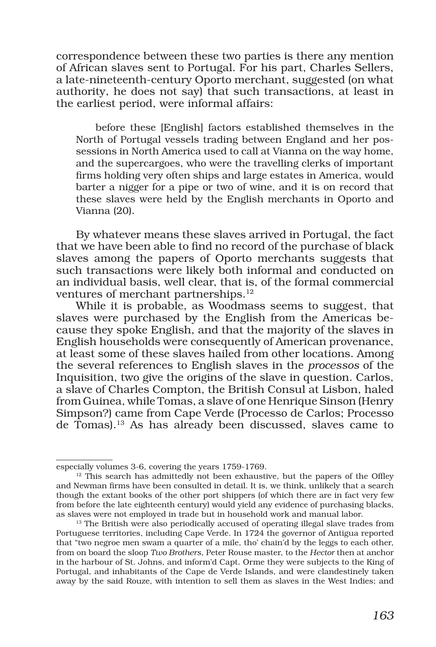correspondence between these two parties is there any mention of African slaves sent to Portugal. For his part, Charles Sellers, a late-nineteenth-century Oporto merchant, suggested (on what authority, he does not say) that such transactions, at least in the earliest period, were informal affairs:

before these [English] factors established themselves in the North of Portugal vessels trading between England and her possessions in North America used to call at Vianna on the way home, and the supercargoes, who were the travelling clerks of important firms holding very often ships and large estates in America, would barter a nigger for a pipe or two of wine, and it is on record that these slaves were held by the English merchants in Oporto and Vianna (20).

By whatever means these slaves arrived in Portugal, the fact that we have been able to find no record of the purchase of black slaves among the papers of Oporto merchants suggests that such transactions were likely both informal and conducted on an individual basis, well clear, that is, of the formal commercial ventures of merchant partnerships.<sup>12</sup>

While it is probable, as Woodmass seems to suggest, that slaves were purchased by the English from the Americas because they spoke English, and that the majority of the slaves in English households were consequently of American provenance, at least some of these slaves hailed from other locations. Among the several references to English slaves in the *processos* of the Inquisition, two give the origins of the slave in question. Carlos, a slave of Charles Compton, the British Consul at Lisbon, haled from Guinea, while Tomas, a slave of one Henrique Sinson (Henry Simpson?) came from Cape Verde (Processo de Carlos; Processo de Tomas).13 As has already been discussed, slaves came to

especially volumes 3-6, covering the years 1759-1769.

 $12$  This search has admittedly not been exhaustive, but the papers of the Offley and Newman firms have been consulted in detail. It is, we think, unlikely that a search though the extant books of the other port shippers (of which there are in fact very few from before the late eighteenth century) would yield any evidence of purchasing blacks, as slaves were not employed in trade but in household work and manual labor.

<sup>&</sup>lt;sup>13</sup> The British were also periodically accused of operating illegal slave trades from Portuguese territories, including Cape Verde. In 1724 the governor of Antigua reported that "two negroe men swam a quarter of a mile, tho' chain'd by the leggs to each other, from on board the sloop *Two Brothers*, Peter Rouse master, to the *Hector* then at anchor in the harbour of St. Johns, and inform'd Capt. Orme they were subjects to the King of Portugal, and inhabitants of the Cape de Verde Islands, and were clandestinely taken away by the said Rouze, with intention to sell them as slaves in the West Indies; and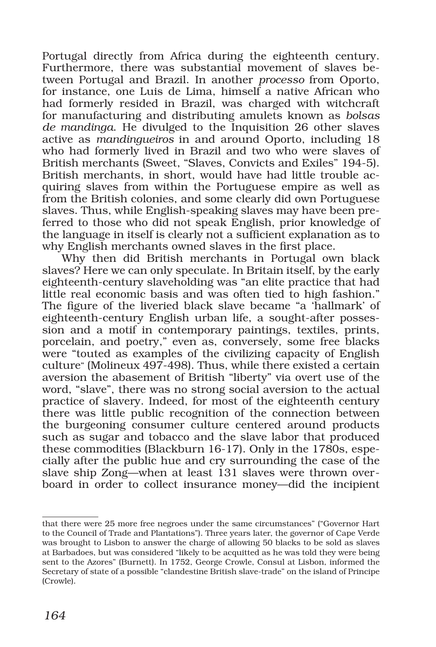Portugal directly from Africa during the eighteenth century. Furthermore, there was substantial movement of slaves between Portugal and Brazil. In another *processo* from Oporto, for instance, one Luis de Lima, himself a native African who had formerly resided in Brazil, was charged with witchcraft for manufacturing and distributing amulets known as *bolsas de mandinga*. He divulged to the Inquisition 26 other slaves active as *mandingueiros* in and around Oporto, including 18 who had formerly lived in Brazil and two who were slaves of British merchants (Sweet, "Slaves, Convicts and Exiles" 194-5). British merchants, in short, would have had little trouble acquiring slaves from within the Portuguese empire as well as from the British colonies, and some clearly did own Portuguese slaves. Thus, while English-speaking slaves may have been preferred to those who did not speak English, prior knowledge of the language in itself is clearly not a sufficient explanation as to why English merchants owned slaves in the first place.

Why then did British merchants in Portugal own black slaves? Here we can only speculate. In Britain itself, by the early eighteenth-century slaveholding was "an elite practice that had little real economic basis and was often tied to high fashion." The figure of the liveried black slave became "a 'hallmark' of eighteenth-century English urban life, a sought-after possession and a motif in contemporary paintings, textiles, prints, porcelain, and poetry," even as, conversely, some free blacks were "touted as examples of the civilizing capacity of English culture" (Molineux 497-498). Thus, while there existed a certain aversion the abasement of British "liberty" via overt use of the word, "slave", there was no strong social aversion to the actual practice of slavery. Indeed, for most of the eighteenth century there was little public recognition of the connection between the burgeoning consumer culture centered around products such as sugar and tobacco and the slave labor that produced these commodities (Blackburn 16-17). Only in the 1780s, especially after the public hue and cry surrounding the case of the slave ship Zong—when at least 131 slaves were thrown overboard in order to collect insurance money—did the incipient

that there were 25 more free negroes under the same circumstances" ("Governor Hart to the Council of Trade and Plantations"). Three years later, the governor of Cape Verde was brought to Lisbon to answer the charge of allowing 50 blacks to be sold as slaves at Barbadoes, but was considered "likely to be acquitted as he was told they were being sent to the Azores" (Burnett). In 1752, George Crowle, Consul at Lisbon, informed the Secretary of state of a possible "clandestine British slave-trade" on the island of Principe (Crowle).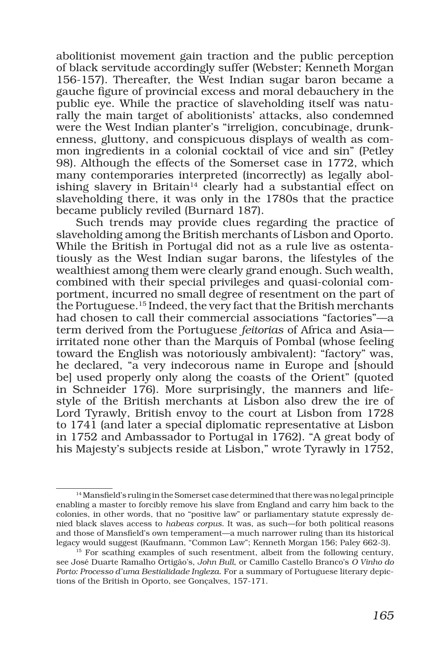abolitionist movement gain traction and the public perception of black servitude accordingly suffer (Webster; Kenneth Morgan 156-157). Thereafter, the West Indian sugar baron became a gauche figure of provincial excess and moral debauchery in the public eye. While the practice of slaveholding itself was naturally the main target of abolitionists' attacks, also condemned were the West Indian planter's "irreligion, concubinage, drunkenness, gluttony, and conspicuous displays of wealth as common ingredients in a colonial cocktail of vice and sin" (Petley 98). Although the effects of the Somerset case in 1772, which many contemporaries interpreted (incorrectly) as legally abolishing slavery in Britain<sup>14</sup> clearly had a substantial effect on slaveholding there, it was only in the 1780s that the practice became publicly reviled (Burnard 187).

Such trends may provide clues regarding the practice of slaveholding among the British merchants of Lisbon and Oporto. While the British in Portugal did not as a rule live as ostentatiously as the West Indian sugar barons, the lifestyles of the wealthiest among them were clearly grand enough. Such wealth, combined with their special privileges and quasi-colonial comportment, incurred no small degree of resentment on the part of the Portuguese.15 Indeed, the very fact that the British merchants had chosen to call their commercial associations "factories"—a term derived from the Portuguese *feitorias* of Africa and Asia irritated none other than the Marquis of Pombal (whose feeling toward the English was notoriously ambivalent): "factory" was, he declared, "a very indecorous name in Europe and [should be] used properly only along the coasts of the Orient" (quoted in Schneider 176). More surprisingly, the manners and lifestyle of the British merchants at Lisbon also drew the ire of Lord Tyrawly, British envoy to the court at Lisbon from 1728 to 1741 (and later a special diplomatic representative at Lisbon in 1752 and Ambassador to Portugal in 1762). "A great body of his Majesty's subjects reside at Lisbon," wrote Tyrawly in 1752,

<sup>14</sup> Mansfield's ruling in the Somerset case determined that there was no legal principle enabling a master to forcibly remove his slave from England and carry him back to the colonies, in other words, that no "positive law" or parliamentary statute expressly denied black slaves access to *habeas corpus*. It was, as such—for both political reasons and those of Mansfield's own temperament—a much narrower ruling than its historical legacy would suggest (Kaufmann, "Common Law"; Kenneth Morgan 156; Paley 662-3).

<sup>&</sup>lt;sup>15</sup> For scathing examples of such resentment, albeit from the following century, see José Duarte Ramalho Ortigão's, *John Bull*, or Camillo Castello Branco's *O Vinho do Porto: Processo d'uma Bestialidade Ingleza*. For a summary of Portuguese literary depictions of the British in Oporto, see Gonçalves, 157-171.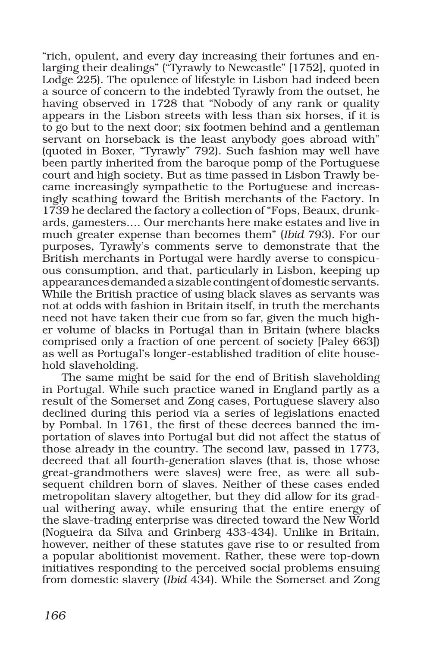"rich, opulent, and every day increasing their fortunes and enlarging their dealings" ("Tyrawly to Newcastle" [1752], quoted in Lodge 225). The opulence of lifestyle in Lisbon had indeed been a source of concern to the indebted Tyrawly from the outset, he having observed in 1728 that "Nobody of any rank or quality appears in the Lisbon streets with less than six horses, if it is to go but to the next door; six footmen behind and a gentleman servant on horseback is the least anybody goes abroad with" (quoted in Boxer, "Tyrawly" 792). Such fashion may well have been partly inherited from the baroque pomp of the Portuguese court and high society. But as time passed in Lisbon Trawly became increasingly sympathetic to the Portuguese and increasingly scathing toward the British merchants of the Factory. In 1739 he declared the factory a collection of "Fops, Beaux, drunkards, gamesters…. Our merchants here make estates and live in much greater expense than becomes them" (*Ibid* 793). For our purposes, Tyrawly's comments serve to demonstrate that the British merchants in Portugal were hardly averse to conspicuous consumption, and that, particularly in Lisbon, keeping up appearances demanded a sizable contingent of domestic servants. While the British practice of using black slaves as servants was not at odds with fashion in Britain itself, in truth the merchants need not have taken their cue from so far, given the much higher volume of blacks in Portugal than in Britain (where blacks comprised only a fraction of one percent of society [Paley 663]) as well as Portugal's longer-established tradition of elite household slaveholding.

The same might be said for the end of British slaveholding in Portugal. While such practice waned in England partly as a result of the Somerset and Zong cases, Portuguese slavery also declined during this period via a series of legislations enacted by Pombal. In 1761, the first of these decrees banned the importation of slaves into Portugal but did not affect the status of those already in the country. The second law, passed in 1773, decreed that all fourth-generation slaves (that is, those whose great-grandmothers were slaves) were free, as were all subsequent children born of slaves. Neither of these cases ended metropolitan slavery altogether, but they did allow for its gradual withering away, while ensuring that the entire energy of the slave-trading enterprise was directed toward the New World (Nogueira da Silva and Grinberg 433-434). Unlike in Britain, however, neither of these statutes gave rise to or resulted from a popular abolitionist movement. Rather, these were top-down initiatives responding to the perceived social problems ensuing from domestic slavery (*Ibid* 434). While the Somerset and Zong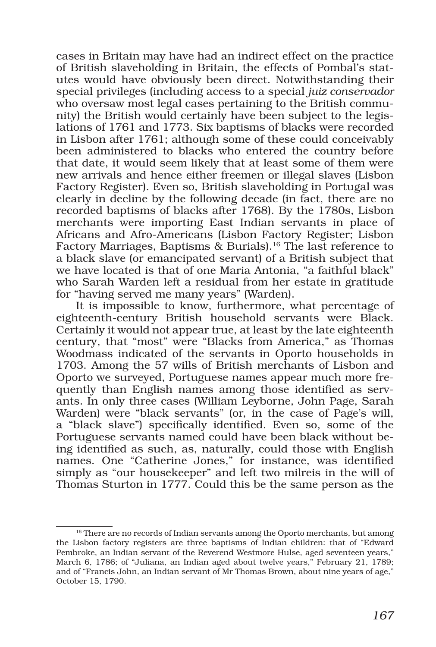cases in Britain may have had an indirect effect on the practice of British slaveholding in Britain, the effects of Pombal's statutes would have obviously been direct. Notwithstanding their special privileges (including access to a special *juiz conservador*  who oversaw most legal cases pertaining to the British community) the British would certainly have been subject to the legislations of 1761 and 1773. Six baptisms of blacks were recorded in Lisbon after 1761; although some of these could conceivably been administered to blacks who entered the country before that date, it would seem likely that at least some of them were new arrivals and hence either freemen or illegal slaves (Lisbon Factory Register). Even so, British slaveholding in Portugal was clearly in decline by the following decade (in fact, there are no recorded baptisms of blacks after 1768). By the 1780s, Lisbon merchants were importing East Indian servants in place of Africans and Afro-Americans (Lisbon Factory Register; Lisbon Factory Marriages, Baptisms & Burials).<sup>16</sup> The last reference to a black slave (or emancipated servant) of a British subject that we have located is that of one Maria Antonia, "a faithful black" who Sarah Warden left a residual from her estate in gratitude for "having served me many years" (Warden).

It is impossible to know, furthermore, what percentage of eighteenth-century British household servants were Black. Certainly it would not appear true, at least by the late eighteenth century, that "most" were "Blacks from America," as Thomas Woodmass indicated of the servants in Oporto households in 1703. Among the 57 wills of British merchants of Lisbon and Oporto we surveyed, Portuguese names appear much more frequently than English names among those identified as servants. In only three cases (William Leyborne, John Page, Sarah Warden) were "black servants" (or, in the case of Page's will, a "black slave") specifically identified. Even so, some of the Portuguese servants named could have been black without being identified as such, as, naturally, could those with English names. One "Catherine Jones," for instance, was identified simply as "our housekeeper" and left two milreis in the will of Thomas Sturton in 1777. Could this be the same person as the

<sup>&</sup>lt;sup>16</sup> There are no records of Indian servants among the Oporto merchants, but among the Lisbon factory registers are three baptisms of Indian children: that of "Edward Pembroke, an Indian servant of the Reverend Westmore Hulse, aged seventeen years," March 6, 1786; of "Juliana, an Indian aged about twelve years," February 21, 1789; and of "Francis John, an Indian servant of Mr Thomas Brown, about nine years of age," October 15, 1790.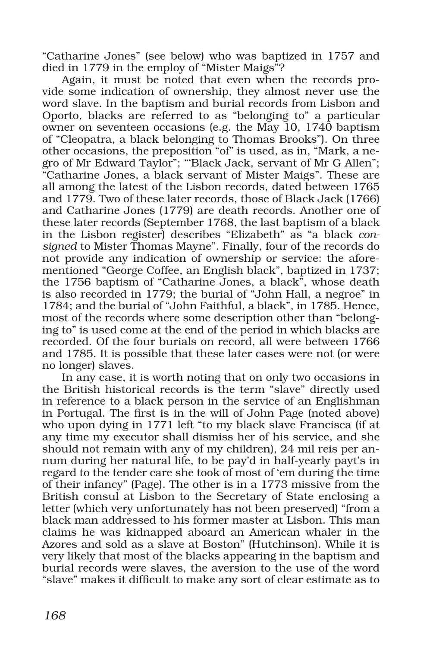"Catharine Jones" (see below) who was baptized in 1757 and died in 1779 in the employ of "Mister Maigs"?

Again, it must be noted that even when the records provide some indication of ownership, they almost never use the word slave. In the baptism and burial records from Lisbon and Oporto, blacks are referred to as "belonging to" a particular owner on seventeen occasions (e.g. the May 10, 1740 baptism of "Cleopatra, a black belonging to Thomas Brooks"). On three other occasions, the preposition "of" is used, as in, "Mark, a negro of Mr Edward Taylor"; "'Black Jack, servant of Mr G Allen"; "Catharine Jones, a black servant of Mister Maigs". These are all among the latest of the Lisbon records, dated between 1765 and 1779. Two of these later records, those of Black Jack (1766) and Catharine Jones (1779) are death records. Another one of these later records (September 1768, the last baptism of a black in the Lisbon register) describes "Elizabeth" as "a black *consigned* to Mister Thomas Mayne". Finally, four of the records do not provide any indication of ownership or service: the aforementioned "George Coffee, an English black", baptized in 1737; the 1756 baptism of "Catharine Jones, a black", whose death is also recorded in 1779; the burial of "John Hall, a negroe" in 1784; and the burial of "John Faithful, a black", in 1785. Hence, most of the records where some description other than "belonging to" is used come at the end of the period in which blacks are recorded. Of the four burials on record, all were between 1766 and 1785. It is possible that these later cases were not (or were no longer) slaves.

In any case, it is worth noting that on only two occasions in the British historical records is the term "slave" directly used in reference to a black person in the service of an Englishman in Portugal. The first is in the will of John Page (noted above) who upon dying in 1771 left "to my black slave Francisca (if at any time my executor shall dismiss her of his service, and she should not remain with any of my children), 24 mil reis per annum during her natural life, to be pay'd in half-yearly payt's in regard to the tender care she took of most of 'em during the time of their infancy" (Page). The other is in a 1773 missive from the British consul at Lisbon to the Secretary of State enclosing a letter (which very unfortunately has not been preserved) "from a black man addressed to his former master at Lisbon. This man claims he was kidnapped aboard an American whaler in the Azores and sold as a slave at Boston" (Hutchinson). While it is very likely that most of the blacks appearing in the baptism and burial records were slaves, the aversion to the use of the word "slave" makes it difficult to make any sort of clear estimate as to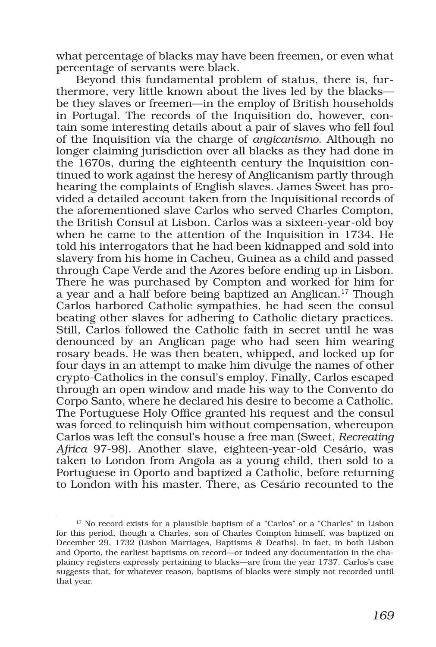what percentage of blacks may have been freemen, or even what percentage of servants were black.

Beyond this fundamental problem of status, there is, furthermore, very little known about the lives led by the blacks be they slaves or freemen—in the employ of British households in Portugal. The records of the Inquisition do, however, contain some interesting details about a pair of slaves who fell foul of the Inquisition via the charge of *angicanismo*. Although no longer claiming jurisdiction over all blacks as they had done in the 1670s, during the eighteenth century the Inquisition continued to work against the heresy of Anglicanism partly through hearing the complaints of English slaves. James Sweet has provided a detailed account taken from the Inquisitional records of the aforementioned slave Carlos who served Charles Compton, the British Consul at Lisbon. Carlos was a sixteen-year-old boy when he came to the attention of the Inquisition in 1734. He told his interrogators that he had been kidnapped and sold into slavery from his home in Cacheu, Guinea as a child and passed through Cape Verde and the Azores before ending up in Lisbon. There he was purchased by Compton and worked for him for a year and a half before being baptized an Anglican.17 Though Carlos harbored Catholic sympathies, he had seen the consul beating other slaves for adhering to Catholic dietary practices. Still, Carlos followed the Catholic faith in secret until he was denounced by an Anglican page who had seen him wearing rosary beads. He was then beaten, whipped, and locked up for four days in an attempt to make him divulge the names of other crypto-Catholics in the consul's employ. Finally, Carlos escaped through an open window and made his way to the Convento do Corpo Santo, where he declared his desire to become a Catholic. The Portuguese Holy Office granted his request and the consul was forced to relinquish him without compensation, whereupon Carlos was left the consul's house a free man (Sweet, *Recreating Africa* 97-98). Another slave, eighteen-year-old Cesário, was taken to London from Angola as a young child, then sold to a Portuguese in Oporto and baptized a Catholic, before returning to London with his master. There, as Cesário recounted to the

 $^{17}$  No record exists for a plausible baptism of a "Carlos" or a "Charles" in Lisbon for this period, though a Charles, son of Charles Compton himself, was baptized on December 29, 1732 (Lisbon Marriages, Baptisms & Deaths). In fact, in both Lisbon and Oporto, the earliest baptisms on record—or indeed any documentation in the chaplaincy registers expressly pertaining to blacks—are from the year 1737. Carlos's case suggests that, for whatever reason, baptisms of blacks were simply not recorded until that year.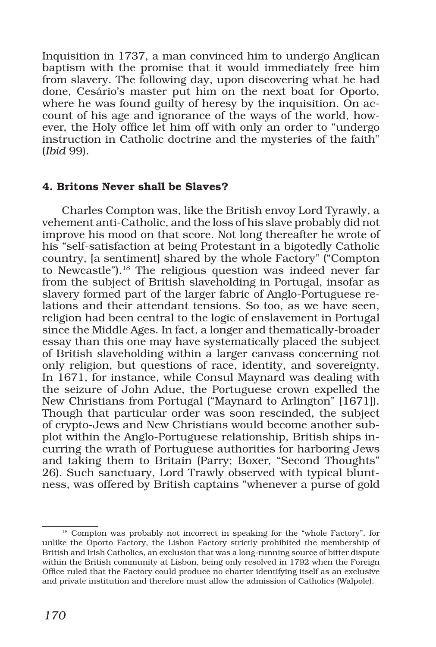Inquisition in 1737, a man convinced him to undergo Anglican baptism with the promise that it would immediately free him from slavery. The following day, upon discovering what he had done, Cesário's master put him on the next boat for Oporto, where he was found guilty of heresy by the inquisition. On account of his age and ignorance of the ways of the world, however, the Holy office let him off with only an order to "undergo instruction in Catholic doctrine and the mysteries of the faith" (*Ibid* 99).

#### 4. Britons Never shall be Slaves?

Charles Compton was, like the British envoy Lord Tyrawly, a vehement anti-Catholic, and the loss of his slave probably did not improve his mood on that score. Not long thereafter he wrote of his "self-satisfaction at being Protestant in a bigotedly Catholic country, [a sentiment] shared by the whole Factory" ("Compton to Newcastle").18 The religious question was indeed never far from the subject of British slaveholding in Portugal, insofar as slavery formed part of the larger fabric of Anglo-Portuguese relations and their attendant tensions. So too, as we have seen, religion had been central to the logic of enslavement in Portugal since the Middle Ages. In fact, a longer and thematically-broader essay than this one may have systematically placed the subject of British slaveholding within a larger canvass concerning not only religion, but questions of race, identity, and sovereignty. In 1671, for instance, while Consul Maynard was dealing with the seizure of John Adue, the Portuguese crown expelled the New Christians from Portugal ("Maynard to Arlington" [1671]). Though that particular order was soon rescinded, the subject of crypto-Jews and New Christians would become another subplot within the Anglo-Portuguese relationship, British ships incurring the wrath of Portuguese authorities for harboring Jews and taking them to Britain (Parry; Boxer, "Second Thoughts" 26). Such sanctuary, Lord Trawly observed with typical bluntness, was offered by British captains "whenever a purse of gold

<sup>&</sup>lt;sup>18</sup> Compton was probably not incorrect in speaking for the "whole Factory", for unlike the Oporto Factory, the Lisbon Factory strictly prohibited the membership of British and Irish Catholics, an exclusion that was a long-running source of bitter dispute within the British community at Lisbon, being only resolved in 1792 when the Foreign Office ruled that the Factory could produce no charter identifying itself as an exclusive and private institution and therefore must allow the admission of Catholics (Walpole).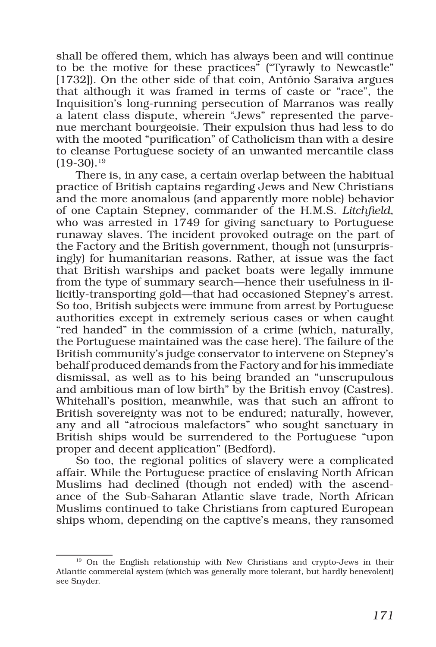shall be offered them, which has always been and will continue to be the motive for these practices" ("Tyrawly to Newcastle" [1732]). On the other side of that coin, António Saraiva argues that although it was framed in terms of caste or "race", the Inquisition's long-running persecution of Marranos was really a latent class dispute, wherein "Jews" represented the parvenue merchant bourgeoisie. Their expulsion thus had less to do with the mooted "purification" of Catholicism than with a desire to cleanse Portuguese society of an unwanted mercantile class  $(19-30).$ <sup>19</sup>

There is, in any case, a certain overlap between the habitual practice of British captains regarding Jews and New Christians and the more anomalous (and apparently more noble) behavior of one Captain Stepney, commander of the H.M.S. *Litchfield*, who was arrested in 1749 for giving sanctuary to Portuguese runaway slaves. The incident provoked outrage on the part of the Factory and the British government, though not (unsurprisingly) for humanitarian reasons. Rather, at issue was the fact that British warships and packet boats were legally immune from the type of summary search—hence their usefulness in illicitly-transporting gold—that had occasioned Stepney's arrest. So too, British subjects were immune from arrest by Portuguese authorities except in extremely serious cases or when caught "red handed" in the commission of a crime (which, naturally, the Portuguese maintained was the case here). The failure of the British community's judge conservator to intervene on Stepney's behalf produced demands from the Factory and for his immediate dismissal, as well as to his being branded an "unscrupulous and ambitious man of low birth" by the British envoy (Castres). Whitehall's position, meanwhile, was that such an affront to British sovereignty was not to be endured; naturally, however, any and all "atrocious malefactors" who sought sanctuary in British ships would be surrendered to the Portuguese "upon proper and decent application" (Bedford).

So too, the regional politics of slavery were a complicated affair. While the Portuguese practice of enslaving North African Muslims had declined (though not ended) with the ascendance of the Sub-Saharan Atlantic slave trade, North African Muslims continued to take Christians from captured European ships whom, depending on the captive's means, they ransomed

<sup>&</sup>lt;sup>19</sup> On the English relationship with New Christians and crypto-Jews in their Atlantic commercial system (which was generally more tolerant, but hardly benevolent) see Snyder.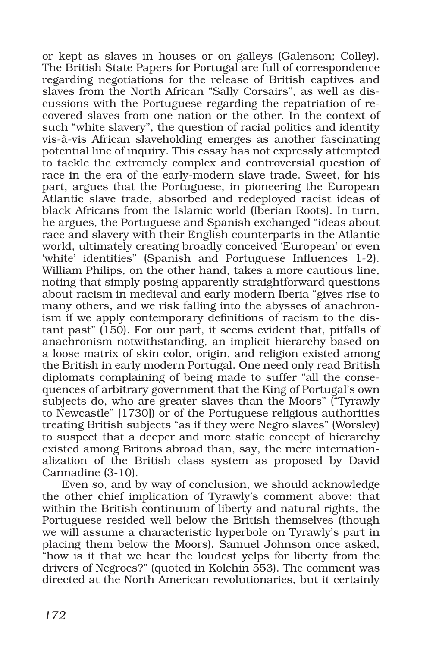or kept as slaves in houses or on galleys (Galenson; Colley). The British State Papers for Portugal are full of correspondence regarding negotiations for the release of British captives and slaves from the North African "Sally Corsairs", as well as discussions with the Portuguese regarding the repatriation of recovered slaves from one nation or the other. In the context of such "white slavery", the question of racial politics and identity vis-à-vis African slaveholding emerges as another fascinating potential line of inquiry. This essay has not expressly attempted to tackle the extremely complex and controversial question of race in the era of the early-modern slave trade. Sweet, for his part, argues that the Portuguese, in pioneering the European Atlantic slave trade, absorbed and redeployed racist ideas of black Africans from the Islamic world (Iberian Roots). In turn, he argues, the Portuguese and Spanish exchanged "ideas about race and slavery with their English counterparts in the Atlantic world, ultimately creating broadly conceived 'European' or even 'white' identities" (Spanish and Portuguese Influences 1-2). William Philips, on the other hand, takes a more cautious line, noting that simply posing apparently straightforward questions about racism in medieval and early modern Iberia "gives rise to many others, and we risk falling into the abysses of anachronism if we apply contemporary definitions of racism to the distant past"  $(150)$ . For our part, it seems evident that, pitfalls of anachronism notwithstanding, an implicit hierarchy based on a loose matrix of skin color, origin, and religion existed among the British in early modern Portugal. One need only read British diplomats complaining of being made to suffer "all the consequences of arbitrary government that the King of Portugal's own subjects do, who are greater slaves than the Moors" ("Tyrawly to Newcastle" [1730]) or of the Portuguese religious authorities treating British subjects "as if they were Negro slaves" (Worsley) to suspect that a deeper and more static concept of hierarchy existed among Britons abroad than, say, the mere internationalization of the British class system as proposed by David Cannadine (3-10).

Even so, and by way of conclusion, we should acknowledge the other chief implication of Tyrawly's comment above: that within the British continuum of liberty and natural rights, the Portuguese resided well below the British themselves (though we will assume a characteristic hyperbole on Tyrawly's part in placing them below the Moors). Samuel Johnson once asked, "how is it that we hear the loudest yelps for liberty from the drivers of Negroes?" (quoted in Kolchin 553). The comment was directed at the North American revolutionaries, but it certainly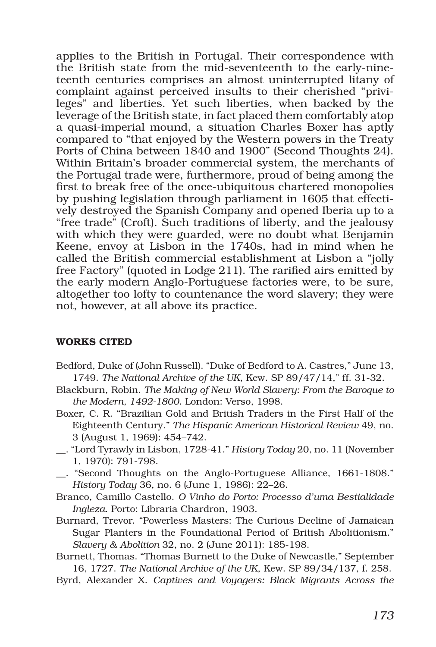applies to the British in Portugal. Their correspondence with the British state from the mid-seventeenth to the early-nineteenth centuries comprises an almost uninterrupted litany of complaint against perceived insults to their cherished "privileges" and liberties. Yet such liberties, when backed by the leverage of the British state, in fact placed them comfortably atop a quasi-imperial mound, a situation Charles Boxer has aptly compared to "that enjoyed by the Western powers in the Treaty Ports of China between 1840 and 1900" (Second Thoughts 24). Within Britain's broader commercial system, the merchants of the Portugal trade were, furthermore, proud of being among the first to break free of the once-ubiquitous chartered monopolies by pushing legislation through parliament in 1605 that effectively destroyed the Spanish Company and opened Iberia up to a "free trade" (Croft). Such traditions of liberty, and the jealousy with which they were guarded, were no doubt what Benjamin Keene, envoy at Lisbon in the 1740s, had in mind when he called the British commercial establishment at Lisbon a "jolly free Factory" (quoted in Lodge 211). The rarified airs emitted by the early modern Anglo-Portuguese factories were, to be sure, altogether too lofty to countenance the word slavery; they were not, however, at all above its practice.

#### WORKS CITED

- Bedford, Duke of (John Russell). "Duke of Bedford to A. Castres," June 13, 1749. *The National Archive of the UK*, Kew. SP 89/47/14," ff. 31-32.
- Blackburn, Robin. *The Making of New World Slavery: From the Baroque to the Modern, 1492-1800*. London: Verso, 1998.
- Boxer, C. R. "Brazilian Gold and British Traders in the First Half of the Eighteenth Century." *The Hispanic American Historical Review* 49, no. 3 (August 1, 1969): 454–742.
- \_\_. "Lord Tyrawly in Lisbon, 1728-41." *History Today* 20, no. 11 (November 1, 1970): 791-798.
- \_\_. "Second Thoughts on the Anglo-Portuguese Alliance, 1661-1808." *History Today* 36, no. 6 (June 1, 1986): 22–26.
- Branco, Camillo Castello. *O Vinho do Porto: Processo d'uma Bestialidade Ingleza*. Porto: Libraria Chardron, 1903.
- Burnard, Trevor. "Powerless Masters: The Curious Decline of Jamaican Sugar Planters in the Foundational Period of British Abolitionism." *Slavery & Abolition* 32, no. 2 (June 2011): 185-198.
- Burnett, Thomas. "Thomas Burnett to the Duke of Newcastle," September 16, 1727. *The National Archive of the UK*, Kew. SP 89/34/137, f. 258.
- Byrd, Alexander X. *Captives and Voyagers: Black Migrants Across the*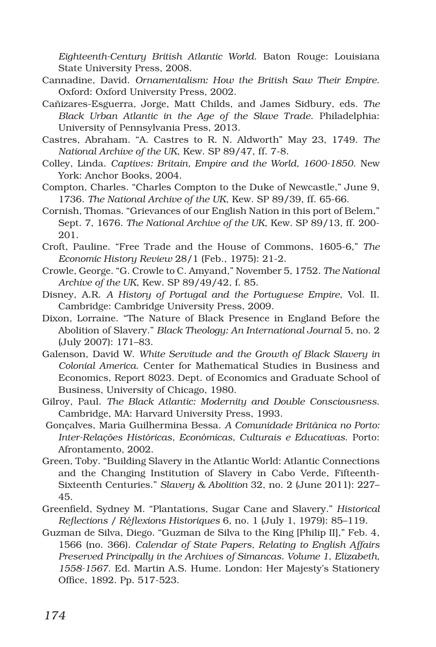*Eighteenth-Century British Atlantic World*. Baton Rouge: Louisiana State University Press, 2008.

- Cannadine, David. *Ornamentalism: How the British Saw Their Empire*. Oxford: Oxford University Press, 2002.
- Cañizares-Esguerra, Jorge, Matt Childs, and James Sidbury, eds. *The Black Urban Atlantic in the Age of the Slave Trade*. Philadelphia: University of Pennsylvania Press, 2013.
- Castres, Abraham. "A. Castres to R. N. Aldworth" May 23, 1749. *The National Archive of the UK*, Kew. SP 89/47, ff. 7-8.
- Colley, Linda. *Captives: Britain, Empire and the World, 1600-1850*. New York: Anchor Books, 2004.
- Compton, Charles. "Charles Compton to the Duke of Newcastle," June 9, 1736. *The National Archive of the UK*, Kew. SP 89/39, ff. 65-66.
- Cornish, Thomas. "Grievances of our English Nation in this port of Belem," Sept. 7, 1676. *The National Archive of the UK*, Kew. SP 89/13, ff. 200- 201.
- Croft, Pauline. "Free Trade and the House of Commons, 1605-6," *The Economic History Review* 28/1 (Feb., 1975): 21-2.
- Crowle, George. "G. Crowle to C. Amyand," November 5, 1752. *The National Archive of the UK*, Kew. SP 89/49/42, f. 85.
- Disney, A.R. *A History of Portugal and the Portuguese Empire*, Vol. II. Cambridge: Cambridge University Press, 2009.
- Dixon, Lorraine. "The Nature of Black Presence in England Before the Abolition of Slavery." *Black Theology: An International Journal* 5, no. 2 (July 2007): 171–83.
- Galenson, David W. *White Servitude and the Growth of Black Slavery in Colonial America*. Center for Mathematical Studies in Business and Economics, Report 8023. Dept. of Economics and Graduate School of Business, University of Chicago, 1980.
- Gilroy, Paul. *The Black Atlantic: Modernity and Double Consciousness*. Cambridge, MA: Harvard University Press, 1993.
- Gonçalves, Maria Guilhermina Bessa. *A Comunidade Britânica no Porto: Inter-Relações Históricas, Económicas, Culturais e Educativas*. Porto: Afrontamento, 2002.
- Green, Toby. "Building Slavery in the Atlantic World: Atlantic Connections and the Changing Institution of Slavery in Cabo Verde, Fifteenth-Sixteenth Centuries." *Slavery & Abolition* 32, no. 2 (June 2011): 227– 45.
- Greenfield, Sydney M. "Plantations, Sugar Cane and Slavery." *Historical Reflections / Réflexions Historiques* 6, no. 1 (July 1, 1979): 85–119.
- Guzman de Silva, Diego. "Guzman de Silva to the King [Philip II]," Feb. 4, 1566 (no. 366). *Calendar of State Papers, Relating to English Affairs Preserved Principally in the Archives of Simancas. Volume 1*, *Elizabeth, 1558-1567*. Ed. Martin A.S. Hume. London: Her Majesty's Stationery Office, 1892. Pp. 517-523.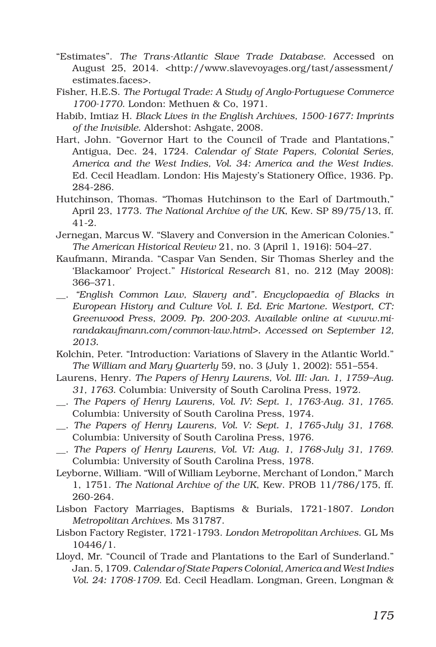- "Estimates". *The Trans-Atlantic Slave Trade Database*. Accessed on August 25, 2014. <http://www.slavevoyages.org/tast/assessment/ estimates.faces>.
- Fisher, H.E.S. *The Portugal Trade: A Study of Anglo-Portuguese Commerce 1700-1770*. London: Methuen & Co, 1971.
- Habib, Imtiaz H. *Black Lives in the English Archives, 1500-1677: Imprints of the Invisible*. Aldershot: Ashgate, 2008.
- Hart, John. "Governor Hart to the Council of Trade and Plantations," Antigua, Dec. 24, 1724. *Calendar of State Papers, Colonial Series, America and the West Indies, Vol. 34: America and the West Indies*. Ed. Cecil Headlam. London: His Majesty's Stationery Office, 1936. Pp. 284-286.
- Hutchinson, Thomas. "Thomas Hutchinson to the Earl of Dartmouth," April 23, 1773. *The National Archive of the UK*, Kew. SP 89/75/13, ff. 41-2.
- Jernegan, Marcus W. "Slavery and Conversion in the American Colonies." *The American Historical Review* 21, no. 3 (April 1, 1916): 504–27.
- Kaufmann, Miranda. "Caspar Van Senden, Sir Thomas Sherley and the 'Blackamoor' Project." *Historical Research* 81, no. 212 (May 2008): 366–371.
- \_\_. *"English Common Law, Slavery and". Encyclopaedia of Blacks in European History and Culture Vol. I. Ed. Eric Martone. Westport, CT: Greenwood Press, 2009. Pp. 200-203. Available online at <www.mirandakaufmann.com/common-law.html>. Accessed on September 12, 2013.*
- Kolchin, Peter. "Introduction: Variations of Slavery in the Atlantic World." *The William and Mary Quarterly* 59, no. 3 (July 1, 2002): 551–554.
- Laurens, Henry. *The Papers of Henry Laurens, Vol. III: Jan. 1, 1759–Aug. 31, 1763*. Columbia: University of South Carolina Press, 1972.
- \_\_. *The Papers of Henry Laurens, Vol. IV: Sept. 1, 1763-Aug. 31, 1765*. Columbia: University of South Carolina Press, 1974.
- \_\_. *The Papers of Henry Laurens, Vol. V: Sept. 1, 1765-July 31, 1768*. Columbia: University of South Carolina Press, 1976.
- \_\_. *The Papers of Henry Laurens, Vol. VI: Aug. 1, 1768-July 31, 1769*. Columbia: University of South Carolina Press, 1978.
- Leyborne, William. "Will of William Leyborne, Merchant of London," March 1, 1751. *The National Archive of the UK*, Kew. PROB 11/786/175, ff. 260-264.
- Lisbon Factory Marriages, Baptisms & Burials, 1721-1807. *London Metropolitan Archives*. Ms 31787.
- Lisbon Factory Register, 1721-1793. *London Metropolitan Archives*. GL Ms 10446/1.
- Lloyd, Mr. "Council of Trade and Plantations to the Earl of Sunderland." Jan. 5, 1709. *Calendar of State Papers Colonial, America and West Indies Vol. 24: 1708-1709*. Ed. Cecil Headlam. Longman, Green, Longman &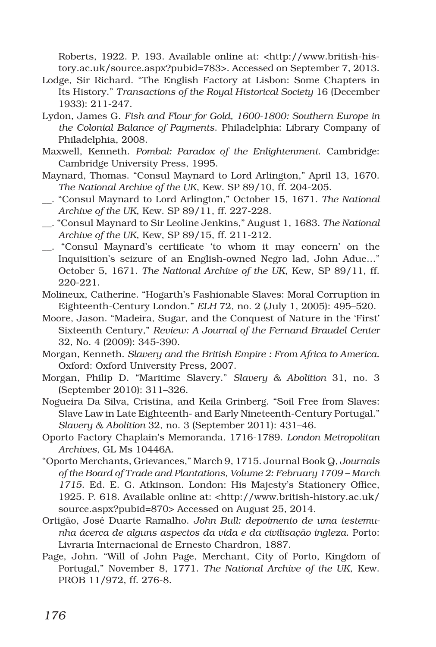Roberts, 1922. P. 193. Available online at: <http://www.british-history.ac.uk/source.aspx?pubid=783>. Accessed on September 7, 2013.

- Lodge, Sir Richard. "The English Factory at Lisbon: Some Chapters in Its History." *Transactions of the Royal Historical Society* 16 (December 1933): 211-247.
- Lydon, James G. *Fish and Flour for Gold, 1600-1800: Southern Europe in the Colonial Balance of Payments*. Philadelphia: Library Company of Philadelphia, 2008.
- Maxwell, Kenneth. *Pombal: Paradox of the Enlightenment*. Cambridge: Cambridge University Press, 1995.
- Maynard, Thomas. "Consul Maynard to Lord Arlington," April 13, 1670. *The National Archive of the UK*, Kew. SP 89/10, ff. 204-205.
- \_\_. "Consul Maynard to Lord Arlington," October 15, 1671. *The National Archive of the UK*, Kew. SP 89/11, ff. 227-228.
- \_\_. "Consul Maynard to Sir Leoline Jenkins," August 1, 1683. *The National Archive of the UK*, Kew, SP 89/15, ff. 211-212.
- \_\_. "Consul Maynard's certificate 'to whom it may concern' on the Inquisition's seizure of an English-owned Negro lad, John Adue…" October 5, 1671. *The National Archive of the UK*, Kew, SP 89/11, ff. 220-221.
- Molineux, Catherine. "Hogarth's Fashionable Slaves: Moral Corruption in Eighteenth-Century London." *ELH* 72, no. 2 (July 1, 2005): 495–520.
- Moore, Jason. "Madeira, Sugar, and the Conquest of Nature in the 'First' Sixteenth Century," *Review: A Journal of the Fernand Braudel Center*  32, No. 4 (2009): 345-390.
- Morgan, Kenneth. *Slavery and the British Empire : From Africa to America*. Oxford: Oxford University Press, 2007.
- Morgan, Philip D. "Maritime Slavery." *Slavery & Abolition* 31, no. 3 (September 2010): 311–326.
- Nogueira Da Silva, Cristina, and Keila Grinberg. "Soil Free from Slaves: Slave Law in Late Eighteenth- and Early Nineteenth-Century Portugal." *Slavery & Abolition* 32, no. 3 (September 2011): 431–46.
- Oporto Factory Chaplain's Memoranda, 1716-1789. *London Metropolitan Archives,* GL Ms 10446A.
- "Oporto Merchants, Grievances," March 9, 1715. Journal Book Q, *Journals of the Board of Trade and Plantations, Volume 2: February 1709 – March 1715*. Ed. E. G. Atkinson. London: His Majesty's Stationery Office, 1925. P. 618. Available online at: <http://www.british-history.ac.uk/ source.aspx?pubid=870> Accessed on August 25, 2014.
- Ortigão, José Duarte Ramalho. *John Bull: depoimento de uma testemunha ácerca de alguns aspectos da vida e da civilisação ingleza*. Porto: Livraria Internacional de Ernesto Chardron, 1887.
- Page, John. "Will of John Page, Merchant, City of Porto, Kingdom of Portugal," November 8, 1771. *The National Archive of the UK*, Kew. PROB 11/972, ff. 276-8.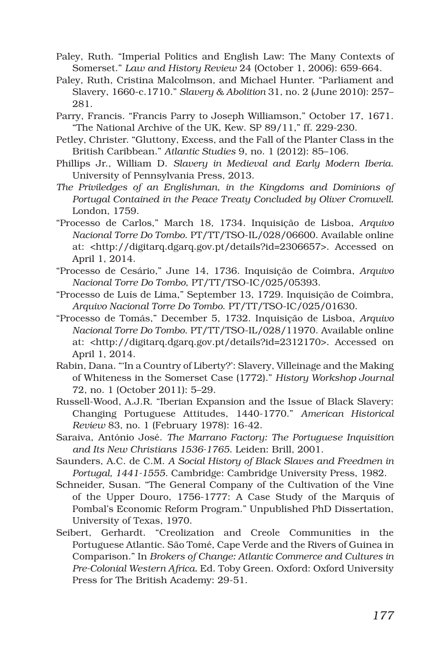- Paley, Ruth. "Imperial Politics and English Law: The Many Contexts of Somerset." *Law and History Review* 24 (October 1, 2006): 659-664.
- Paley, Ruth, Cristina Malcolmson, and Michael Hunter. "Parliament and Slavery, 1660-c.1710." *Slavery & Abolition* 31, no. 2 (June 2010): 257– 281.
- Parry, Francis. "Francis Parry to Joseph Williamson," October 17, 1671. "The National Archive of the UK, Kew. SP 89/11," ff. 229-230.
- Petley, Christer. "Gluttony, Excess, and the Fall of the Planter Class in the British Caribbean." *Atlantic Studies* 9, no. 1 (2012): 85–106.
- Phillips Jr., William D. *Slavery in Medieval and Early Modern Iberia*. University of Pennsylvania Press, 2013.
- *The Priviledges of an Englishman, in the Kingdoms and Dominions of Portugal Contained in the Peace Treaty Concluded by Oliver Cromwell.*  London, 1759.
- "Processo de Carlos," March 18, 1734. Inquisição de Lisboa, *Arquivo Nacional Torre Do Tombo*. PT/TT/TSO-IL/028/06600. Available online at: <http://digitarq.dgarq.gov.pt/details?id=2306657>. Accessed on April 1, 2014.
- "Processo de Cesário," June 14, 1736. Inquisição de Coimbra, *Arquivo Nacional Torre Do Tombo*, PT/TT/TSO-IC/025/05393.
- "Processo de Luís de Lima," September 13, 1729. Inquisição de Coimbra, *Arquivo Nacional Torre Do Tombo*. PT/TT/TSO-IC/025/01630.
- "Processo de Tomás," December 5, 1732. Inquisição de Lisboa, *Arquivo Nacional Torre Do Tombo*. PT/TT/TSO-IL/028/11970. Available online at: <http://digitarq.dgarq.gov.pt/details?id=2312170>. Accessed on April 1, 2014.
- Rabin, Dana. "'In a Country of Liberty?': Slavery, Villeinage and the Making of Whiteness in the Somerset Case (1772)." *History Workshop Journal* 72, no. 1 (October 2011): 5–29.
- Russell-Wood, A.J.R. "Iberian Expansion and the Issue of Black Slavery: Changing Portuguese Attitudes, 1440-1770." *American Historical Review* 83, no. 1 (February 1978): 16-42.
- Saraiva, António José. *The Marrano Factory: The Portuguese Inquisition and Its New Christians 1536-1765*. Leiden: Brill, 2001.
- Saunders, A.C. de C.M. *A Social History of Black Slaves and Freedmen in Portugal, 1441-1555*. Cambridge: Cambridge University Press, 1982.
- Schneider, Susan. "The General Company of the Cultivation of the Vine of the Upper Douro, 1756-1777: A Case Study of the Marquis of Pombal's Economic Reform Program." Unpublished PhD Dissertation, University of Texas, 1970.
- Seibert, Gerhardt. "Creolization and Creole Communities in the Portuguese Atlantic. São Tomé, Cape Verde and the Rivers of Guinea in Comparison." In *Brokers of Change: Atlantic Commerce and Cultures in Pre-Colonial Western Africa.* Ed. Toby Green. Oxford: Oxford University Press for The British Academy: 29-51.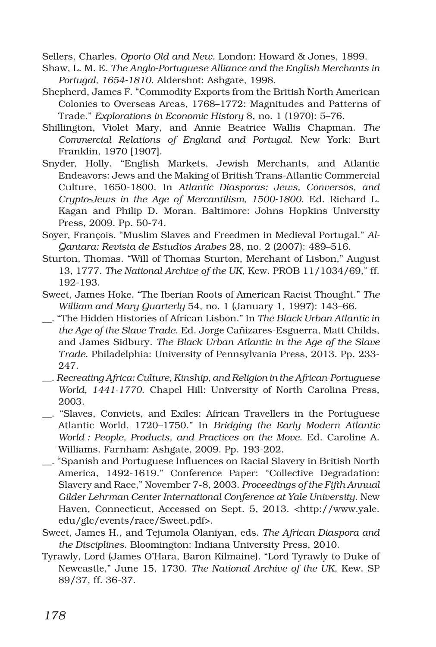Sellers, Charles. *Oporto Old and New*. London: Howard & Jones, 1899.

- Shaw, L. M. E. *The Anglo-Portuguese Alliance and the English Merchants in Portugal, 1654-1810*. Aldershot: Ashgate, 1998.
- Shepherd, James F. "Commodity Exports from the British North American Colonies to Overseas Areas, 1768–1772: Magnitudes and Patterns of Trade." *Explorations in Economic History* 8, no. 1 (1970): 5–76.
- Shillington, Violet Mary, and Annie Beatrice Wallis Chapman. *The Commercial Relations of England and Portugal*. New York: Burt Franklin, 1970 [1907].
- Snyder, Holly. "English Markets, Jewish Merchants, and Atlantic Endeavors: Jews and the Making of British Trans-Atlantic Commercial Culture, 1650-1800. In *Atlantic Diasporas: Jews, Conversos, and Crypto-Jews in the Age of Mercantilism, 1500-1800*. Ed. Richard L. Kagan and Philip D. Moran. Baltimore: Johns Hopkins University Press, 2009. Pp. 50-74.
- Soyer, François. "Muslim Slaves and Freedmen in Medieval Portugal." *Al-Qantara: Revista de Estudios Arabes* 28, no. 2 (2007): 489–516.
- Sturton, Thomas. "Will of Thomas Sturton, Merchant of Lisbon," August 13, 1777. *The National Archive of the UK*, Kew. PROB 11/1034/69," ff. 192-193.
- Sweet, James Hoke. "The Iberian Roots of American Racist Thought." *The William and Mary Quarterly* 54, no. 1 (January 1, 1997): 143–66.
- \_\_. "The Hidden Histories of African Lisbon." In *The Black Urban Atlantic in the Age of the Slave Trade*. Ed. Jorge Cañizares-Esguerra, Matt Childs, and James Sidbury. *The Black Urban Atlantic in the Age of the Slave Trade*. Philadelphia: University of Pennsylvania Press, 2013. Pp. 233- 247.
- \_\_. *Recreating Africa: Culture, Kinship, and Religion in the African-Portuguese World, 1441-1770*. Chapel Hill: University of North Carolina Press, 2003.
- \_\_. "Slaves, Convicts, and Exiles: African Travellers in the Portuguese Atlantic World, 1720–1750." In *Bridging the Early Modern Atlantic World : People, Products, and Practices on the Move*. Ed. Caroline A. Williams. Farnham: Ashgate, 2009. Pp. 193-202.
- \_\_. "Spanish and Portuguese Influences on Racial Slavery in British North America, 1492-1619." Conference Paper: "Collective Degradation: Slavery and Race," November 7-8, 2003. *Proceedings of the Fifth Annual Gilder Lehrman Center International Conference at Yale University*. New Haven, Connecticut, Accessed on Sept. 5, 2013. <http://www.yale. edu/glc/events/race/Sweet.pdf>.
- Sweet, James H., and Tejumola Olaniyan, eds. *The African Diaspora and the Disciplines*. Bloomington: Indiana University Press, 2010.
- Tyrawly, Lord (James O'Hara, Baron Kilmaine). "Lord Tyrawly to Duke of Newcastle," June 15, 1730. *The National Archive of the UK*, Kew. SP 89/37, ff. 36-37.